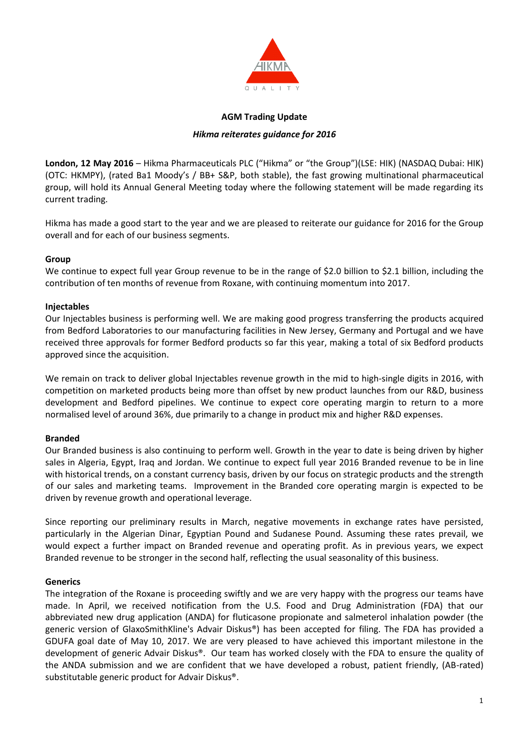

#### **AGM Trading Update**

### *Hikma reiterates guidance for 2016*

**London, 12 May 2016** – Hikma Pharmaceuticals PLC ("Hikma" or "the Group")(LSE: HIK) (NASDAQ Dubai: HIK) (OTC: HKMPY), (rated Ba1 Moody's / BB+ S&P, both stable), the fast growing multinational pharmaceutical group, will hold its Annual General Meeting today where the following statement will be made regarding its current trading.

Hikma has made a good start to the year and we are pleased to reiterate our guidance for 2016 for the Group overall and for each of our business segments.

### **Group**

We continue to expect full year Group revenue to be in the range of \$2.0 billion to \$2.1 billion, including the contribution of ten months of revenue from Roxane, with continuing momentum into 2017.

#### **Injectables**

Our Injectables business is performing well. We are making good progress transferring the products acquired from Bedford Laboratories to our manufacturing facilities in New Jersey, Germany and Portugal and we have received three approvals for former Bedford products so far this year, making a total of six Bedford products approved since the acquisition.

We remain on track to deliver global Injectables revenue growth in the mid to high-single digits in 2016, with competition on marketed products being more than offset by new product launches from our R&D, business development and Bedford pipelines. We continue to expect core operating margin to return to a more normalised level of around 36%, due primarily to a change in product mix and higher R&D expenses.

# **Branded**

Our Branded business is also continuing to perform well. Growth in the year to date is being driven by higher sales in Algeria, Egypt, Iraq and Jordan. We continue to expect full year 2016 Branded revenue to be in line with historical trends, on a constant currency basis, driven by our focus on strategic products and the strength of our sales and marketing teams. Improvement in the Branded core operating margin is expected to be driven by revenue growth and operational leverage.

Since reporting our preliminary results in March, negative movements in exchange rates have persisted, particularly in the Algerian Dinar, Egyptian Pound and Sudanese Pound. Assuming these rates prevail, we would expect a further impact on Branded revenue and operating profit. As in previous years, we expect Branded revenue to be stronger in the second half, reflecting the usual seasonality of this business.

#### **Generics**

The integration of the Roxane is proceeding swiftly and we are very happy with the progress our teams have made. In April, we received notification from the U.S. Food and Drug Administration (FDA) that our abbreviated new drug application (ANDA) for fluticasone propionate and salmeterol inhalation powder (the generic version of GlaxoSmithKline's Advair Diskus®) has been accepted for filing. The FDA has provided a GDUFA goal date of May 10, 2017. We are very pleased to have achieved this important milestone in the development of generic Advair Diskus®. Our team has worked closely with the FDA to ensure the quality of the ANDA submission and we are confident that we have developed a robust, patient friendly, (AB-rated) substitutable generic product for Advair Diskus®.